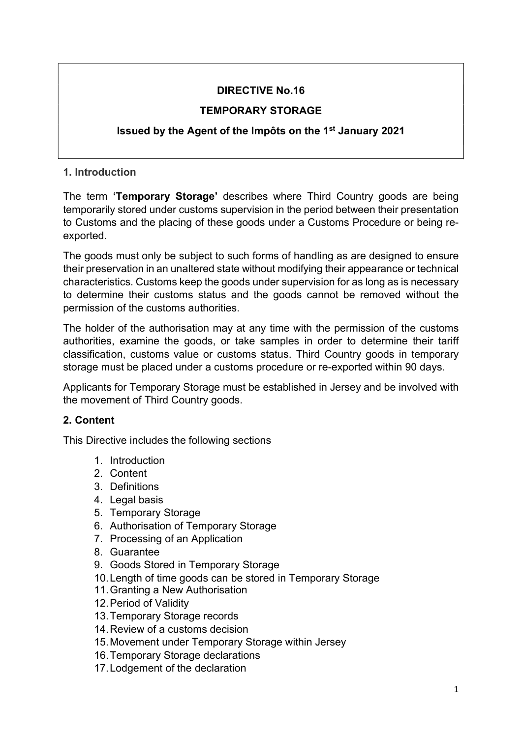## DIRECTIVE No.16

## TEMPORARY STORAGE

# Issued by the Agent of the Impôts on the 1st January 2021

# 1. Introduction

The term 'Temporary Storage' describes where Third Country goods are being temporarily stored under customs supervision in the period between their presentation to Customs and the placing of these goods under a Customs Procedure or being reexported.

The goods must only be subject to such forms of handling as are designed to ensure their preservation in an unaltered state without modifying their appearance or technical characteristics. Customs keep the goods under supervision for as long as is necessary to determine their customs status and the goods cannot be removed without the permission of the customs authorities.

The holder of the authorisation may at any time with the permission of the customs authorities, examine the goods, or take samples in order to determine their tariff classification, customs value or customs status. Third Country goods in temporary storage must be placed under a customs procedure or re-exported within 90 days.

Applicants for Temporary Storage must be established in Jersey and be involved with the movement of Third Country goods.

# 2. Content

This Directive includes the following sections

- 1. Introduction
- 2. Content
- 3. Definitions
- 4. Legal basis
- 5. Temporary Storage
- 6. Authorisation of Temporary Storage
- 7. Processing of an Application
- 8. Guarantee
- 9. Goods Stored in Temporary Storage
- 10. Length of time goods can be stored in Temporary Storage
- 11. Granting a New Authorisation
- 12. Period of Validity
- 13. Temporary Storage records
- 14. Review of a customs decision
- 15. Movement under Temporary Storage within Jersey
- 16. Temporary Storage declarations
- 17. Lodgement of the declaration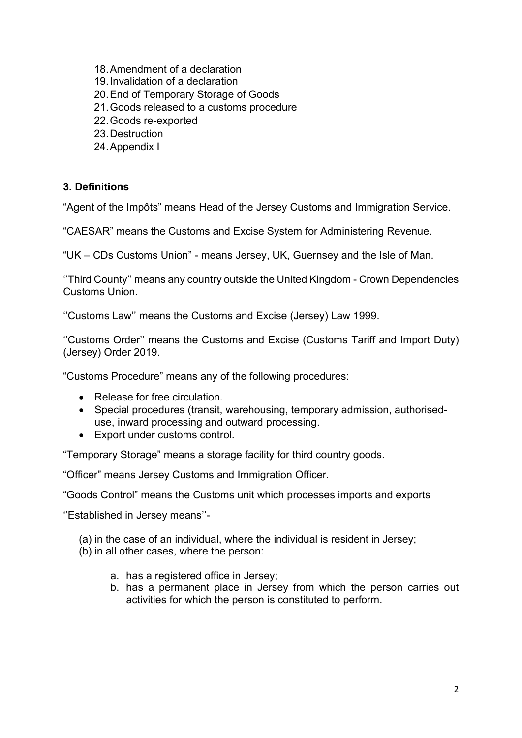- 18. Amendment of a declaration
- 19. Invalidation of a declaration
- 20. End of Temporary Storage of Goods
- 21. Goods released to a customs procedure
- 22. Goods re-exported
- 23. Destruction
- 24. Appendix I

#### 3. Definitions

"Agent of the Impôts" means Head of the Jersey Customs and Immigration Service.

"CAESAR" means the Customs and Excise System for Administering Revenue.

"UK – CDs Customs Union" - means Jersey, UK, Guernsey and the Isle of Man.

''Third County'' means any country outside the United Kingdom - Crown Dependencies Customs Union.

''Customs Law'' means the Customs and Excise (Jersey) Law 1999.

''Customs Order'' means the Customs and Excise (Customs Tariff and Import Duty) (Jersey) Order 2019.

"Customs Procedure" means any of the following procedures:

- Release for free circulation.
- Special procedures (transit, warehousing, temporary admission, authoriseduse, inward processing and outward processing.
- Export under customs control.

"Temporary Storage" means a storage facility for third country goods.

"Officer" means Jersey Customs and Immigration Officer.

"Goods Control" means the Customs unit which processes imports and exports

''Established in Jersey means''-

(a) in the case of an individual, where the individual is resident in Jersey;

- (b) in all other cases, where the person:
	- a. has a registered office in Jersey;
	- b. has a permanent place in Jersey from which the person carries out activities for which the person is constituted to perform.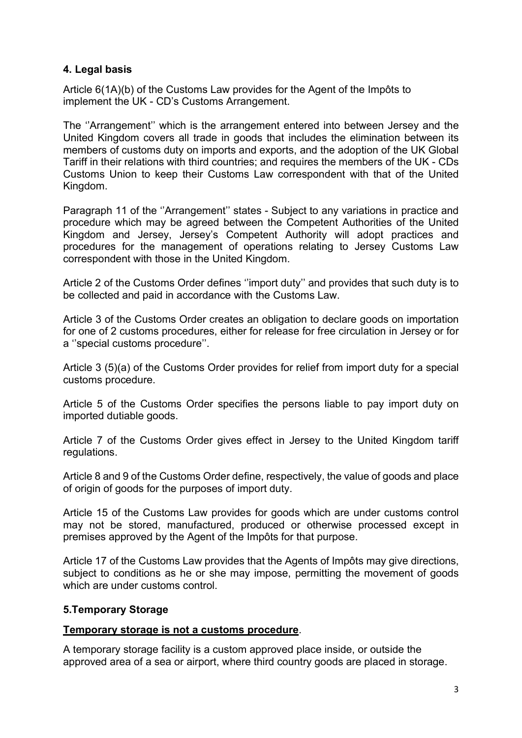#### 4. Legal basis

Article 6(1A)(b) of the Customs Law provides for the Agent of the Impôts to implement the UK - CD's Customs Arrangement.

The ''Arrangement'' which is the arrangement entered into between Jersey and the United Kingdom covers all trade in goods that includes the elimination between its members of customs duty on imports and exports, and the adoption of the UK Global Tariff in their relations with third countries; and requires the members of the UK - CDs Customs Union to keep their Customs Law correspondent with that of the United Kingdom.

Paragraph 11 of the ''Arrangement'' states - Subject to any variations in practice and procedure which may be agreed between the Competent Authorities of the United Kingdom and Jersey, Jersey's Competent Authority will adopt practices and procedures for the management of operations relating to Jersey Customs Law correspondent with those in the United Kingdom.

Article 2 of the Customs Order defines ''import duty'' and provides that such duty is to be collected and paid in accordance with the Customs Law.

Article 3 of the Customs Order creates an obligation to declare goods on importation for one of 2 customs procedures, either for release for free circulation in Jersey or for a ''special customs procedure''.

Article 3 (5)(a) of the Customs Order provides for relief from import duty for a special customs procedure.

Article 5 of the Customs Order specifies the persons liable to pay import duty on imported dutiable goods.

Article 7 of the Customs Order gives effect in Jersey to the United Kingdom tariff regulations.

Article 8 and 9 of the Customs Order define, respectively, the value of goods and place of origin of goods for the purposes of import duty.

Article 15 of the Customs Law provides for goods which are under customs control may not be stored, manufactured, produced or otherwise processed except in premises approved by the Agent of the Impôts for that purpose.

Article 17 of the Customs Law provides that the Agents of Impôts may give directions, subject to conditions as he or she may impose, permitting the movement of goods which are under customs control

#### 5.Temporary Storage

#### Temporary storage is not a customs procedure.

A temporary storage facility is a custom approved place inside, or outside the approved area of a sea or airport, where third country goods are placed in storage.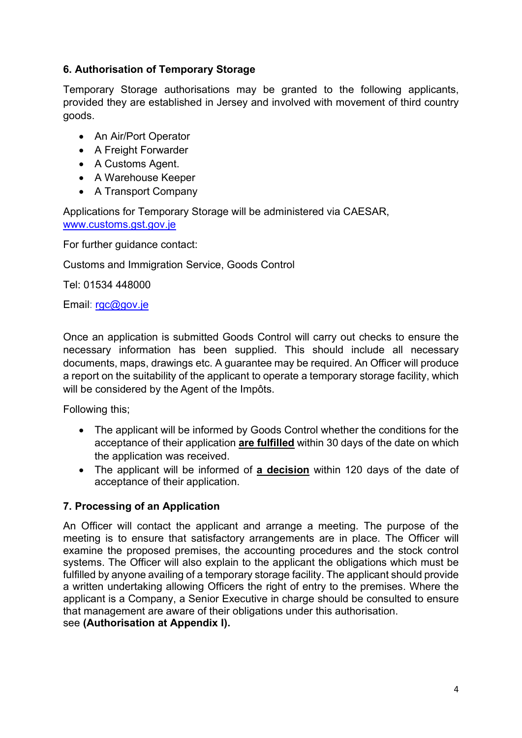### 6. Authorisation of Temporary Storage

Temporary Storage authorisations may be granted to the following applicants, provided they are established in Jersey and involved with movement of third country goods.

- An Air/Port Operator
- A Freight Forwarder
- A Customs Agent.
- A Warehouse Keeper
- A Transport Company

Applications for Temporary Storage will be administered via CAESAR, www.customs.gst.gov.je

For further guidance contact:

Customs and Immigration Service, Goods Control

Tel: 01534 448000

Email: rgc@gov.je

Once an application is submitted Goods Control will carry out checks to ensure the necessary information has been supplied. This should include all necessary documents, maps, drawings etc. A guarantee may be required. An Officer will produce a report on the suitability of the applicant to operate a temporary storage facility, which will be considered by the Agent of the Impôts.

Following this;

- The applicant will be informed by Goods Control whether the conditions for the acceptance of their application are fulfilled within 30 days of the date on which the application was received.
- The applicant will be informed of a decision within 120 days of the date of acceptance of their application.

## 7. Processing of an Application

An Officer will contact the applicant and arrange a meeting. The purpose of the meeting is to ensure that satisfactory arrangements are in place. The Officer will examine the proposed premises, the accounting procedures and the stock control systems. The Officer will also explain to the applicant the obligations which must be fulfilled by anyone availing of a temporary storage facility. The applicant should provide a written undertaking allowing Officers the right of entry to the premises. Where the applicant is a Company, a Senior Executive in charge should be consulted to ensure that management are aware of their obligations under this authorisation.

see (Authorisation at Appendix I).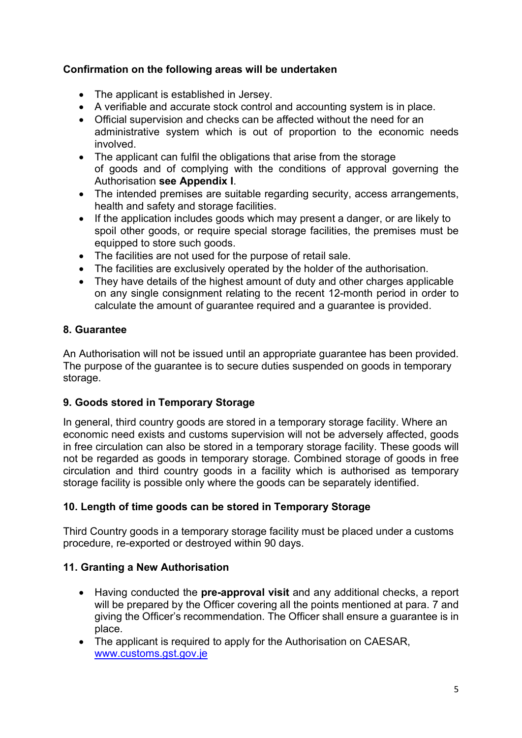### Confirmation on the following areas will be undertaken

- The applicant is established in Jersey.
- A verifiable and accurate stock control and accounting system is in place.
- Official supervision and checks can be affected without the need for an administrative system which is out of proportion to the economic needs involved.
- The applicant can fulfil the obligations that arise from the storage of goods and of complying with the conditions of approval governing the Authorisation see Appendix I.
- The intended premises are suitable regarding security, access arrangements, health and safety and storage facilities.
- If the application includes goods which may present a danger, or are likely to spoil other goods, or require special storage facilities, the premises must be equipped to store such goods.
- The facilities are not used for the purpose of retail sale.
- The facilities are exclusively operated by the holder of the authorisation.
- They have details of the highest amount of duty and other charges applicable on any single consignment relating to the recent 12-month period in order to calculate the amount of guarantee required and a guarantee is provided.

## 8. Guarantee

An Authorisation will not be issued until an appropriate guarantee has been provided. The purpose of the guarantee is to secure duties suspended on goods in temporary storage.

## 9. Goods stored in Temporary Storage

In general, third country goods are stored in a temporary storage facility. Where an economic need exists and customs supervision will not be adversely affected, goods in free circulation can also be stored in a temporary storage facility. These goods will not be regarded as goods in temporary storage. Combined storage of goods in free circulation and third country goods in a facility which is authorised as temporary storage facility is possible only where the goods can be separately identified.

## 10. Length of time goods can be stored in Temporary Storage

Third Country goods in a temporary storage facility must be placed under a customs procedure, re-exported or destroyed within 90 days.

## 11. Granting a New Authorisation

- Having conducted the **pre-approval visit** and any additional checks, a report will be prepared by the Officer covering all the points mentioned at para. 7 and giving the Officer's recommendation. The Officer shall ensure a guarantee is in place.
- The applicant is required to apply for the Authorisation on CAESAR, www.customs.gst.gov.je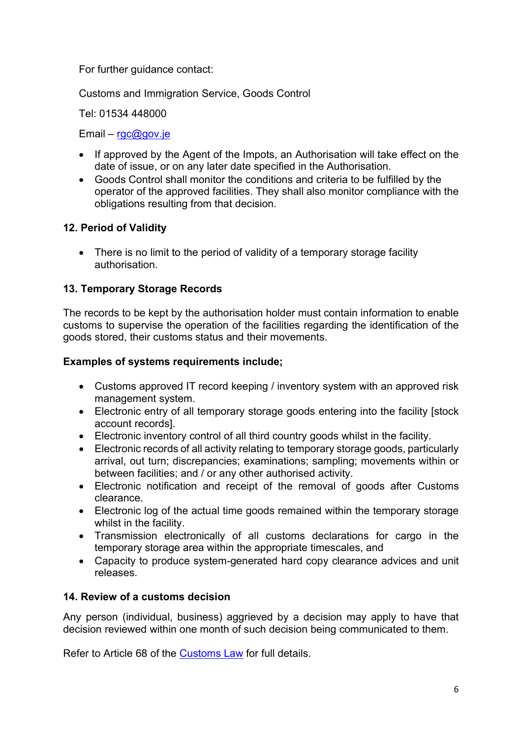For further guidance contact:

Customs and Immigration Service, Goods Control

Tel: 01534 448000

Email –  $rgc@gov_ie$ 

- If approved by the Agent of the Impots, an Authorisation will take effect on the date of issue, or on any later date specified in the Authorisation.
- Goods Control shall monitor the conditions and criteria to be fulfilled by the operator of the approved facilities. They shall also monitor compliance with the obligations resulting from that decision.

#### 12. Period of Validity

• There is no limit to the period of validity of a temporary storage facility authorisation.

### 13. Temporary Storage Records

The records to be kept by the authorisation holder must contain information to enable customs to supervise the operation of the facilities regarding the identification of the goods stored, their customs status and their movements.

#### Examples of systems requirements include;

- Customs approved IT record keeping / inventory system with an approved risk management system.
- Electronic entry of all temporary storage goods entering into the facility [stock account records].
- Electronic inventory control of all third country goods whilst in the facility.
- Electronic records of all activity relating to temporary storage goods, particularly arrival, out turn; discrepancies; examinations; sampling; movements within or between facilities; and / or any other authorised activity.
- Electronic notification and receipt of the removal of goods after Customs clearance.
- Electronic log of the actual time goods remained within the temporary storage whilst in the facility.
- Transmission electronically of all customs declarations for cargo in the temporary storage area within the appropriate timescales, and
- Capacity to produce system-generated hard copy clearance advices and unit releases.

#### 14. Review of a customs decision

Any person (individual, business) aggrieved by a decision may apply to have that decision reviewed within one month of such decision being communicated to them.

Refer to Article 68 of the Customs Law for full details.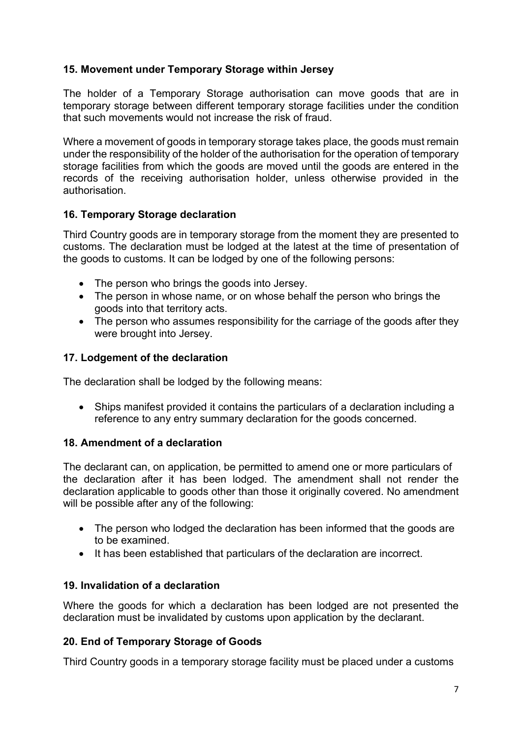### 15. Movement under Temporary Storage within Jersey

The holder of a Temporary Storage authorisation can move goods that are in temporary storage between different temporary storage facilities under the condition that such movements would not increase the risk of fraud.

Where a movement of goods in temporary storage takes place, the goods must remain under the responsibility of the holder of the authorisation for the operation of temporary storage facilities from which the goods are moved until the goods are entered in the records of the receiving authorisation holder, unless otherwise provided in the authorisation.

#### 16. Temporary Storage declaration

Third Country goods are in temporary storage from the moment they are presented to customs. The declaration must be lodged at the latest at the time of presentation of the goods to customs. It can be lodged by one of the following persons:

- The person who brings the goods into Jersey.
- The person in whose name, or on whose behalf the person who brings the goods into that territory acts.
- The person who assumes responsibility for the carriage of the goods after they were brought into Jersey.

#### 17. Lodgement of the declaration

The declaration shall be lodged by the following means:

 Ships manifest provided it contains the particulars of a declaration including a reference to any entry summary declaration for the goods concerned.

#### 18. Amendment of a declaration

The declarant can, on application, be permitted to amend one or more particulars of the declaration after it has been lodged. The amendment shall not render the declaration applicable to goods other than those it originally covered. No amendment will be possible after any of the following:

- The person who lodged the declaration has been informed that the goods are to be examined.
- It has been established that particulars of the declaration are incorrect.

#### 19. Invalidation of a declaration

Where the goods for which a declaration has been lodged are not presented the declaration must be invalidated by customs upon application by the declarant.

#### 20. End of Temporary Storage of Goods

Third Country goods in a temporary storage facility must be placed under a customs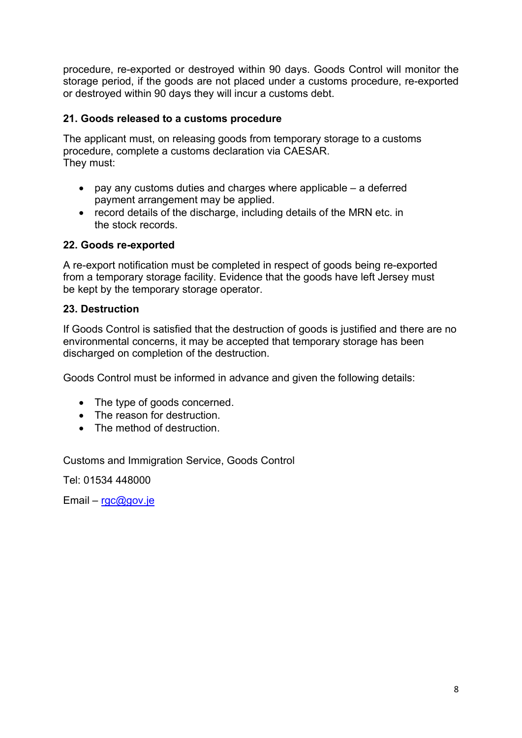procedure, re-exported or destroyed within 90 days. Goods Control will monitor the storage period, if the goods are not placed under a customs procedure, re-exported or destroyed within 90 days they will incur a customs debt.

#### 21. Goods released to a customs procedure

The applicant must, on releasing goods from temporary storage to a customs procedure, complete a customs declaration via CAESAR. They must:

- $\bullet$  pay any customs duties and charges where applicable a deferred payment arrangement may be applied.
- record details of the discharge, including details of the MRN etc. in the stock records.

### 22. Goods re-exported

A re-export notification must be completed in respect of goods being re-exported from a temporary storage facility. Evidence that the goods have left Jersey must be kept by the temporary storage operator.

## 23. Destruction

If Goods Control is satisfied that the destruction of goods is justified and there are no environmental concerns, it may be accepted that temporary storage has been discharged on completion of the destruction.

Goods Control must be informed in advance and given the following details:

- The type of goods concerned.
- The reason for destruction.
- The method of destruction

Customs and Immigration Service, Goods Control

Tel: 01534 448000

Email – rgc@gov.je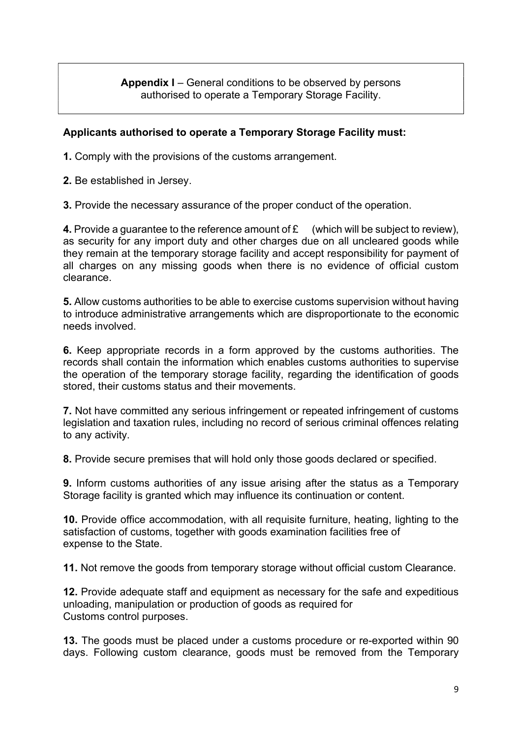Appendix I – General conditions to be observed by persons authorised to operate a Temporary Storage Facility.

#### Applicants authorised to operate a Temporary Storage Facility must:

1. Comply with the provisions of the customs arrangement.

2. Be established in Jersey.

3. Provide the necessary assurance of the proper conduct of the operation.

**4.** Provide a guarantee to the reference amount of  $f{f}$  (which will be subject to review). as security for any import duty and other charges due on all uncleared goods while they remain at the temporary storage facility and accept responsibility for payment of all charges on any missing goods when there is no evidence of official custom clearance.

5. Allow customs authorities to be able to exercise customs supervision without having to introduce administrative arrangements which are disproportionate to the economic needs involved.

6. Keep appropriate records in a form approved by the customs authorities. The records shall contain the information which enables customs authorities to supervise the operation of the temporary storage facility, regarding the identification of goods stored, their customs status and their movements.

7. Not have committed any serious infringement or repeated infringement of customs legislation and taxation rules, including no record of serious criminal offences relating to any activity.

8. Provide secure premises that will hold only those goods declared or specified.

9. Inform customs authorities of any issue arising after the status as a Temporary Storage facility is granted which may influence its continuation or content.

10. Provide office accommodation, with all requisite furniture, heating, lighting to the satisfaction of customs, together with goods examination facilities free of expense to the State.

11. Not remove the goods from temporary storage without official custom Clearance.

12. Provide adequate staff and equipment as necessary for the safe and expeditious unloading, manipulation or production of goods as required for Customs control purposes.

13. The goods must be placed under a customs procedure or re-exported within 90 days. Following custom clearance, goods must be removed from the Temporary